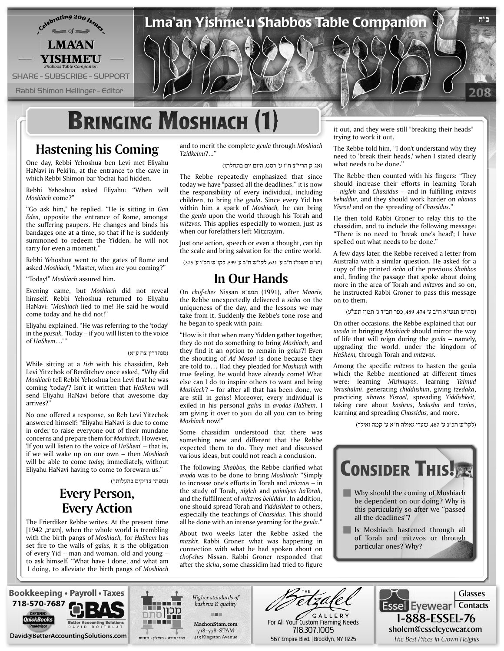

### **Hastening his Coming**

One day, Rebbi Yehoshua ben Levi met Eliyahu HaNavi in Peki'in, at the entrance to the cave in which Rebbi Shimon bar Yochai had hidden.

Rebbi Yehoshua asked Eliyahu: "When will Moshiach come?"

"Go ask him," he replied. "He is sitting in Gan Eden, opposite the entrance of Rome, amongst the suffering paupers. He changes and binds his bandages one at a time, so that if he is suddenly summoned to redeem the Yidden, he will not tarry for even a moment."

Rebbi Yehoshua went to the gates of Rome and asked Moshiach, "Master, when are you coming?"

"Today!" Moshiach assured him.

Evening came, but *Moshiach* did not reveal himself. Rebbi Yehoshua returned to Eliyahu HaNavi: "Moshiach lied to me! He said he would come today and he did not!"

Eliyahu explained, "He was referring to the 'today' in the *possuk*, 'Today – if you will listen to the voice of HaShem...'"

### (סנהדרין צח ע"א)

While sitting at a tish with his chassidim, Reb Levi Yitzchok of Berditchev once asked, "Why did Moshiach tell Rebbi Yehoshua ben Levi that he was coming 'today'? Isn't it written that HaShem will send Eliyahu HaNavi before that awesome day arrives?"

No one offered a response, so Reb Levi Yitzchok answered himself: "Eliyahu HaNavi is due to come in order to raise everyone out of their mundane concerns and prepare them for *Moshiach*. However, 'If you will listen to the voice of *HaShem'* – that is, *if* we will wake up on our own – then *Moshiach* will be able to come today, immediately, without Eliyahu HaNavi having to come to forewarn us."

(שפתי צדיקים בהעלותך)

### **Every Person, Every Action**

The Frierdiker Rebbe writes: At the present time [חש"ב, 1942], when the whole world is trembling with the birth pangs of Moshiach, for HaShem has set fire to the walls of galus, it is the obligation of every Yid  $-$  man and woman, old and young  $$ to ask himself, "What have I done, and what am I doing, to alleviate the birth pangs of Moshiach

and to merit the complete geula through Moshiach "...?*Tzidkeinu*

(אג"ק הריי"צ ח"ו ע' רסט, היום יום בתחלתו)

The Rebbe repeatedly emphasized that since today we have "passed all the deadlines," it is now the responsibility of every individual, including children, to bring the *geula*. Since every Yid has within him a spark of Moshiach, he can bring the geula upon the world through his Torah and mitzvos. This applies especially to women, just as when our forefathers left Mitzrayim.

Just one action, speech or even a thought, can tip the scale and bring salvation for the entire world.

(תו"מ תשמ״ז ח״ב ע׳ ,621 לקו"ש ח"ב ע' ,599 לקו"ש חכ"ו ע' 375)

### **Hands Our In**

*,Maariv* after ,)1991 (תנש"א Nissan *ches-chof* On the Rebbe unexpectedly delivered a sicha on the uniqueness of the day, and the lessons we may take from it. Suddenly the Rebbe's tone rose and he began to speak with pain:

"How is it that when many Yidden gather together, they do not do something to bring Moshiach, and they find it an option to remain in golus?! Even the shouting of Ad Mosai! is done because they are told to... Had they pleaded for Moshiach with true feeling, he would have already come! What else can I do to inspire others to want and bring Moshiach? – for after all that has been done, we are still in galus! Moreover, every individual is exiled in his personal galus in avodas HaShem. I am giving it over to you: do all you can to bring Moshiach now!"

Some chassidim understood that there was something new and different that the Rebbe expected them to do. They met and discussed various ideas, but could not reach a conclusion.

The following *Shabbos*, the Rebbe clarified what avoda was to be done to bring Moshiach: "Simply to increase one's efforts in Torah and *mitzvos* - in the study of Torah, *nigleh* and *pnimiyus haTorah*, and the fulfillment of *mitzvos behiddur*. In addition, one should spread Torah and Yiddishkeit to others, especially the teachings of Chassidus. This should all be done with an intense yearning for the *geula*."

About two weeks later the Rebbe asked the mazkir, Rabbi Groner, what was happening in connection with what he had spoken about on chof-ches Nissan. Rabbi Groner responded that after the *sicha*, some chassidim had tried to figure

it out, and they were still "breaking their heads" trying to work it out.

The Rebbe told him, "I don't understand why they need to 'break their heads,' when I stated clearly what needs to be done."

The Rebbe then counted with his fingers: "They should increase their efforts in learning Torah  $-$  *nigleh* and *Chassidus* – and in fulfilling *mitzvos behiddur*, and they should work harder on ahavas Yisroel and on the spreading of Chassidus."

He then told Rabbi Groner to relay this to the chassidim, and to include the following message: "There is no need to 'break one's head'; I have spelled out what needs to be done."

A few days later, the Rebbe received a letter from Australia with a similar question. He asked for a copy of the printed *sicha* of the previous *Shabbos* and, finding the passage that spoke about doing more in the area of Torah and *mitzvos* and so on, he instructed Rabbi Groner to pass this message on to them.

(סה"ש תנש"א ח"ב ע' ,474 ,489 כפר חב"ד ג' תמוז תש"ע)

On other occasions, the Rebbe explained that our avoda in bringing Moshiach should mirror the way of life that will reign during the *geula* – namely, upgrading the world, under the kingdom of *HaShem*, through *Torah and mitzvos*.

Among the specific *mitzvos* to hasten the geula which the Rebbe mentioned at different times were: learning *Mishnayos*, learning Talmud Yerushalmi, generating chiddushim, giving tzedaka, practicing ahavas Yisroel, spreading Yiddishkeit, taking care about *kashrus*, *kedusha* and *tznius*, learning and spreading *Chassidus*, and more.

(לקו"ש חכ"ג ע' ,487 שערי גאולה ח"א ע' קמה ואילך)







Higher standards of *quality & kashrus* **THE com.MachonStam** 718-778-STAM 415 Kingston Avenue

G A L L E R Y<br>For All Your Custom Framing Needs 718.307.1005

1-888-ESSEL-76 sholem@esseleyewear.com Essel Eyewear Contacts **com.BetterAccountingSolutions@David com.BetterAccountingSolutions@David** Heights Crown in Prices Best The 567 Empire Blvd. | Brooklyn, NY 11225